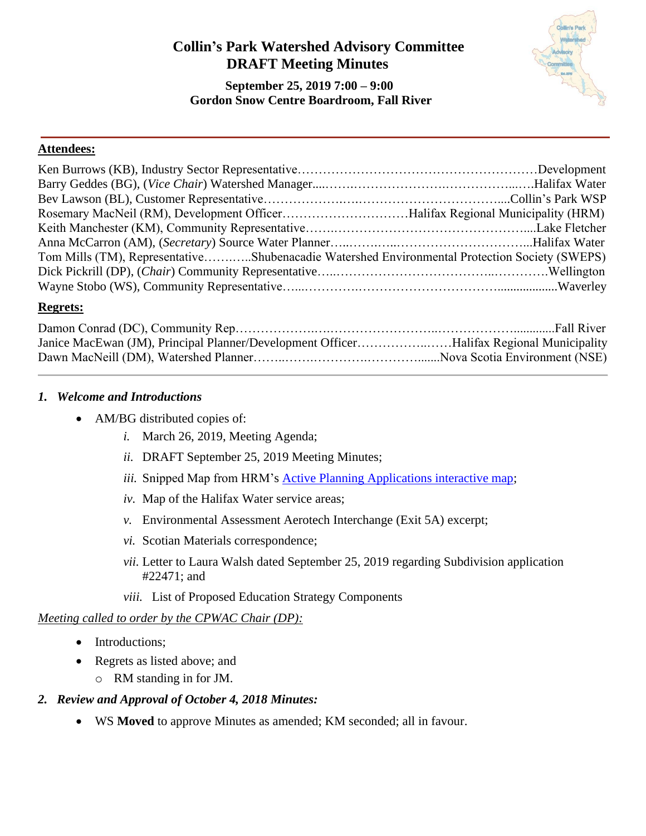# **Collin's Park Watershed Advisory Committee DRAFT Meeting Minutes**

 **September 25, 2019 7:00 – 9:00 Gordon Snow Centre Boardroom, Fall River**



#### **Attendees:**

| Rosemary MacNeil (RM), Development OfficerHalifax Regional Municipality (HRM)                 |  |
|-----------------------------------------------------------------------------------------------|--|
|                                                                                               |  |
|                                                                                               |  |
| Tom Mills (TM), RepresentativeShubenacadie Watershed Environmental Protection Society (SWEPS) |  |
|                                                                                               |  |
|                                                                                               |  |

#### **Regrets:**

| Janice MacEwan (JM), Principal Planner/Development OfficerHalifax Regional Municipality |  |
|-----------------------------------------------------------------------------------------|--|
|                                                                                         |  |

#### <span id="page-0-0"></span>*1. Welcome and Introductions*

- <span id="page-0-1"></span>• AM/BG distributed copies of:
	- *i.* March 26, 2019, Meeting Agenda;
	- *ii.* DRAFT September 25, 2019 Meeting Minutes;
	- *iii.* Snipped Map from HRM's [Active Planning Applications interactive map;](https://www.halifax.ca/business/planning-development/applications)
	- *iv.* Map of the Halifax Water service areas;
	- *v.* Environmental Assessment Aerotech Interchange (Exit 5A) excerpt;
	- *vi.* Scotian Materials correspondence;
	- *vii.* Letter to Laura Walsh dated September 25, 2019 regarding Subdivision application #22471; and
	- *viii.* List of Proposed Education Strategy Components

## <span id="page-0-4"></span><span id="page-0-3"></span><span id="page-0-2"></span>*Meeting called to order by the CPWAC Chair (DP):*

- Introductions;
- Regrets as listed above; and
	- o RM standing in for JM.

## *2. Review and Approval of October 4, 2018 Minutes:*

• WS **Moved** to approve Minutes as amended; KM seconded; all in favour.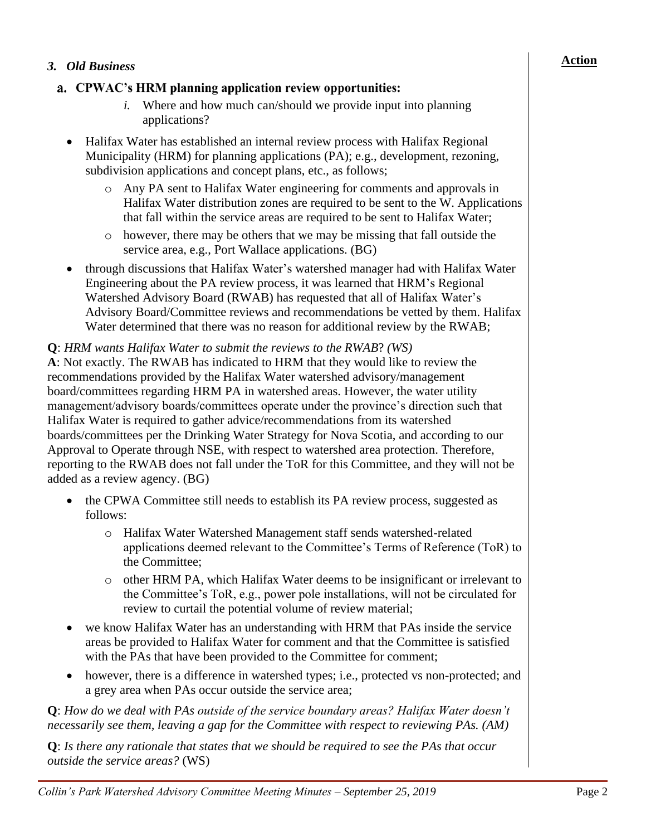#### *3. Old Business*

## a. CPWAC's HRM planning application review opportunities:

- *i.* Where and how much can/should we provide input into planning applications?
- Halifax Water has established an internal review process with Halifax Regional Municipality (HRM) for planning applications (PA); e.g., development, rezoning, subdivision applications and concept plans, etc., as follows;
	- o Any PA sent to Halifax Water engineering for comments and approvals in Halifax Water distribution zones are required to be sent to the W. Applications that fall within the service areas are required to be sent to Halifax Water;
	- o however, there may be others that we may be missing that fall outside the service area, e.g., Port Wallace applications. (BG)
- through discussions that Halifax Water's watershed manager had with Halifax Water Engineering about the PA review process, it was learned that HRM's Regional Watershed Advisory Board (RWAB) has requested that all of Halifax Water's Advisory Board/Committee reviews and recommendations be vetted by them. Halifax Water determined that there was no reason for additional review by the RWAB;

#### **Q**: *HRM wants Halifax Water to submit the reviews to the RWAB*? *(WS)*

**A**: Not exactly. The RWAB has indicated to HRM that they would like to review the recommendations provided by the Halifax Water watershed advisory/management board/committees regarding HRM PA in watershed areas. However, the water utility management/advisory boards/committees operate under the province's direction such that Halifax Water is required to gather advice/recommendations from its watershed boards/committees per the Drinking Water Strategy for Nova Scotia, and according to our Approval to Operate through NSE, with respect to watershed area protection. Therefore, reporting to the RWAB does not fall under the ToR for this Committee, and they will not be added as a review agency. (BG)

- the CPWA Committee still needs to establish its PA review process, suggested as follows:
	- o Halifax Water Watershed Management staff sends watershed-related applications deemed relevant to the Committee's Terms of Reference (ToR) to the Committee;
	- o other HRM PA, which Halifax Water deems to be insignificant or irrelevant to the Committee's ToR, e.g., power pole installations, will not be circulated for review to curtail the potential volume of review material;
- we know Halifax Water has an understanding with HRM that PAs inside the service areas be provided to Halifax Water for comment and that the Committee is satisfied with the PAs that have been provided to the Committee for comment;
- however, there is a difference in watershed types; i.e., protected vs non-protected; and a grey area when PAs occur outside the service area;

**Q**: *How do we deal with PAs outside of the service boundary areas? Halifax Water doesn't necessarily see them, leaving a gap for the Committee with respect to reviewing PAs. (AM)*

**Q**: *Is there any rationale that states that we should be required to see the PAs that occur outside the service areas?* (WS)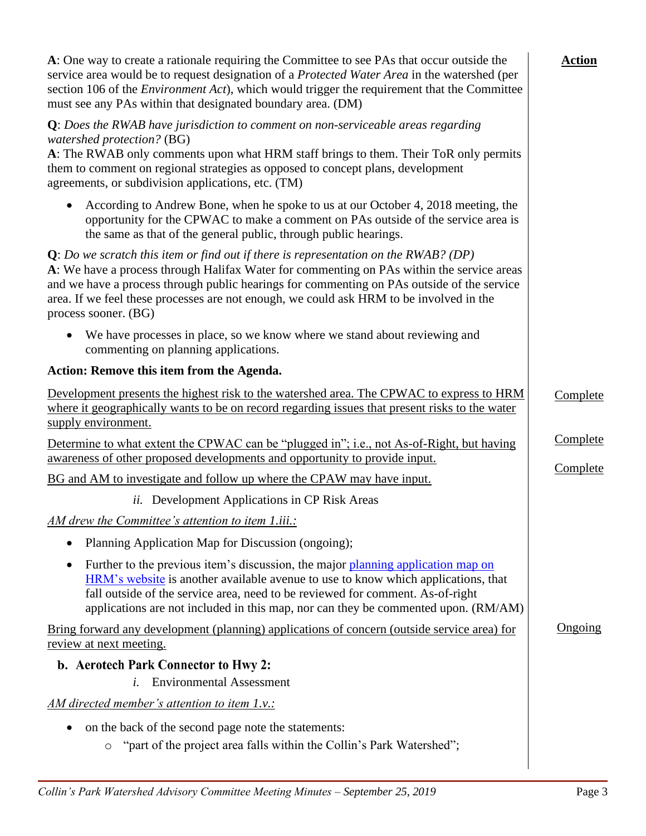| A: One way to create a rationale requiring the Committee to see PAs that occur outside the<br>service area would be to request designation of a Protected Water Area in the watershed (per<br>section 106 of the <i>Environment Act</i> ), which would trigger the requirement that the Committee<br>must see any PAs within that designated boundary area. (DM)                                    | <b>Action</b> |
|-----------------------------------------------------------------------------------------------------------------------------------------------------------------------------------------------------------------------------------------------------------------------------------------------------------------------------------------------------------------------------------------------------|---------------|
| $Q$ : Does the RWAB have jurisdiction to comment on non-serviceable areas regarding<br>watershed protection? (BG)<br>A: The RWAB only comments upon what HRM staff brings to them. Their ToR only permits<br>them to comment on regional strategies as opposed to concept plans, development<br>agreements, or subdivision applications, etc. (TM)                                                  |               |
| According to Andrew Bone, when he spoke to us at our October 4, 2018 meeting, the<br>opportunity for the CPWAC to make a comment on PAs outside of the service area is<br>the same as that of the general public, through public hearings.                                                                                                                                                          |               |
| $Q: Do$ we scratch this item or find out if there is representation on the RWAB? (DP)<br>A: We have a process through Halifax Water for commenting on PAs within the service areas<br>and we have a process through public hearings for commenting on PAs outside of the service<br>area. If we feel these processes are not enough, we could ask HRM to be involved in the<br>process sooner. (BG) |               |
| We have processes in place, so we know where we stand about reviewing and<br>commenting on planning applications.                                                                                                                                                                                                                                                                                   |               |
| Action: Remove this item from the Agenda.                                                                                                                                                                                                                                                                                                                                                           |               |
| Development presents the highest risk to the watershed area. The CPWAC to express to HRM<br>where it geographically wants to be on record regarding issues that present risks to the water<br>supply environment.                                                                                                                                                                                   | Complete      |
| Determine to what extent the CPWAC can be "plugged in"; i.e., not As-of-Right, but having<br>awareness of other proposed developments and opportunity to provide input.                                                                                                                                                                                                                             | Complete      |
| BG and AM to investigate and follow up where the CPAW may have input.                                                                                                                                                                                                                                                                                                                               | Complete      |
| <i>ii.</i> Development Applications in CP Risk Areas                                                                                                                                                                                                                                                                                                                                                |               |
| AM drew the Committee's attention to item 1.iii.:                                                                                                                                                                                                                                                                                                                                                   |               |
| Planning Application Map for Discussion (ongoing);                                                                                                                                                                                                                                                                                                                                                  |               |
| Further to the previous item's discussion, the major planning application map on<br>HRM's website is another available avenue to use to know which applications, that<br>fall outside of the service area, need to be reviewed for comment. As-of-right<br>applications are not included in this map, nor can they be commented upon. (RM/AM)                                                       |               |
| <u>Bring forward any development (planning) applications of concern (outside service area) for</u><br><u>review at next meeting.</u>                                                                                                                                                                                                                                                                | Ongoing       |
| b. Aerotech Park Connector to Hwy 2:                                                                                                                                                                                                                                                                                                                                                                |               |
| <b>Environmental Assessment</b><br>i.                                                                                                                                                                                                                                                                                                                                                               |               |
| <u>AM directed member's attention to item 1.v.:</u>                                                                                                                                                                                                                                                                                                                                                 |               |
| on the back of the second page note the statements:<br>"part of the project area falls within the Collin's Park Watershed";<br>$\circ$                                                                                                                                                                                                                                                              |               |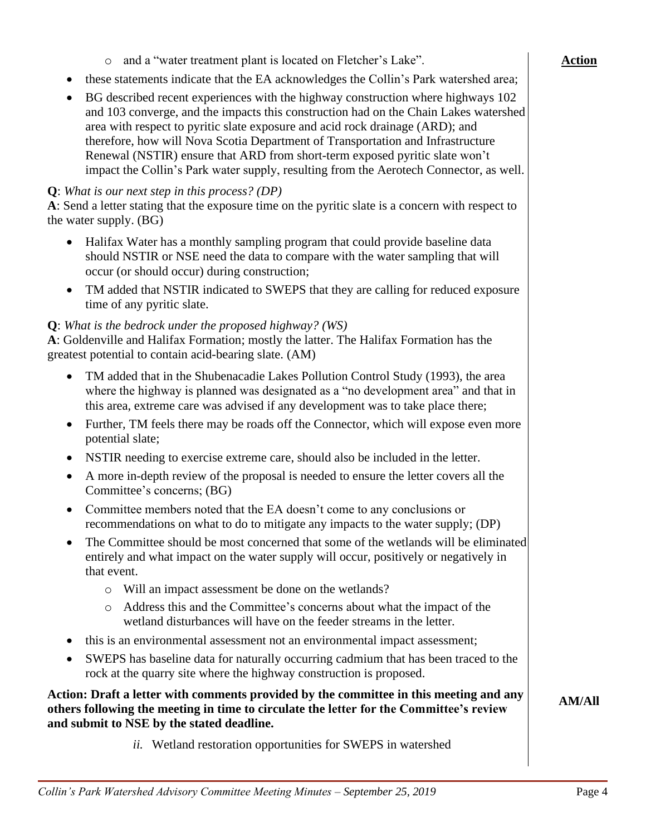| while an impact association of done on the wettungs.                                                                                                                                                                           |               |
|--------------------------------------------------------------------------------------------------------------------------------------------------------------------------------------------------------------------------------|---------------|
| Address this and the Committee's concerns about what the impact of the<br>$\circ$<br>wetland disturbances will have on the feeder streams in the letter.                                                                       |               |
| this is an environmental assessment not an environmental impact assessment;<br>$\bullet$                                                                                                                                       |               |
| SWEPS has baseline data for naturally occurring cadmium that has been traced to the<br>$\bullet$<br>rock at the quarry site where the highway construction is proposed.                                                        |               |
| Action: Draft a letter with comments provided by the committee in this meeting and any<br>others following the meeting in time to circulate the letter for the Committee's review<br>and submit to NSE by the stated deadline. | <b>AM/All</b> |
| <i>ii.</i> Wetland restoration opportunities for SWEPS in watershed                                                                                                                                                            |               |
| Collin's Park Watershed Advisory Committee Meeting Minutes – September 25, 2019                                                                                                                                                | Page 4        |
|                                                                                                                                                                                                                                |               |

## o and a "water treatment plant is located on Fletcher's Lake".

- these statements indicate that the EA acknowledges the Collin's Park watershed area;
- BG described recent experiences with the highway construction where highways 102 and 103 converge, and the impacts this construction had on the Chain Lakes watershed area with respect to pyritic slate exposure and acid rock drainage (ARD); and therefore, how will Nova Scotia Department of Transportation and Infrastructure Renewal (NSTIR) ensure that ARD from short-term exposed pyritic slate won't impact the Collin's Park water supply, resulting from the Aerotech Connector, as well.

## **Q**: *What is our next step in this process? (DP)*

**A**: Send a letter stating that the exposure time on the pyritic slate is a concern with respect to the water supply. (BG)

- Halifax Water has a monthly sampling program that could provide baseline data should NSTIR or NSE need the data to compare with the water sampling that will occur (or should occur) during construction;
- TM added that NSTIR indicated to SWEPS that they are calling for reduced exposure time of any pyritic slate.

# **Q**: *What is the bedrock under the proposed highway? (WS)*

**A**: Goldenville and Halifax Formation; mostly the latter. The Halifax Formation has the greatest potential to contain acid-bearing slate. (AM)

- TM added that in the Shubenacadie Lakes Pollution Control Study (1993), the area where the highway is planned was designated as a "no development area" and that in this area, extreme care was advised if any development was to take place there;
- Further, TM feels there may be roads off the Connector, which will expose even more potential slate;
- NSTIR needing to exercise extreme care, should also be included in the letter.
- A more in-depth review of the proposal is needed to ensure the letter covers all the Committee's concerns; (BG)
- Committee members noted that the EA doesn't come to any conclusions or recommendations on what to do to mitigate any impacts to the water supply; (DP)
- The Committee should be most concerned that some of the wetlands will be eliminated entirely and what impact on the water supply will occur, positively or negatively in that event.
	- o Will an impact assessment be done on the wetlands?
- SWEPS has baseline data for naturally occurring cadmium that has been traced to the

# **Action: Draft a letter with comments provided by the committee in this meeting and any**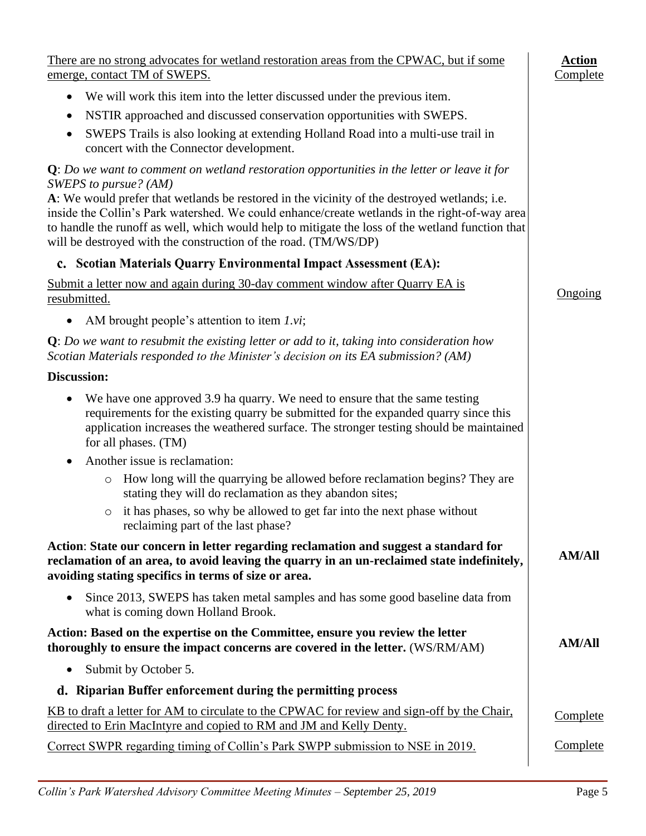| There are no strong advocates for wetland restoration areas from the CPWAC, but if some<br>emerge, contact TM of SWEPS.                                                                                                                                                                                                                                              | <b>Action</b><br>Complete |
|----------------------------------------------------------------------------------------------------------------------------------------------------------------------------------------------------------------------------------------------------------------------------------------------------------------------------------------------------------------------|---------------------------|
| We will work this item into the letter discussed under the previous item.<br>$\bullet$                                                                                                                                                                                                                                                                               |                           |
| NSTIR approached and discussed conservation opportunities with SWEPS.<br>٠                                                                                                                                                                                                                                                                                           |                           |
| SWEPS Trails is also looking at extending Holland Road into a multi-use trail in<br>$\bullet$<br>concert with the Connector development.                                                                                                                                                                                                                             |                           |
| $Q: Do$ we want to comment on wetland restoration opportunities in the letter or leave it for<br>SWEPS to pursue? (AM)                                                                                                                                                                                                                                               |                           |
| A: We would prefer that wetlands be restored in the vicinity of the destroyed wetlands; i.e.<br>inside the Collin's Park watershed. We could enhance/create wetlands in the right-of-way area<br>to handle the runoff as well, which would help to mitigate the loss of the wetland function that<br>will be destroyed with the construction of the road. (TM/WS/DP) |                           |
| c. Scotian Materials Quarry Environmental Impact Assessment (EA):                                                                                                                                                                                                                                                                                                    |                           |
| Submit a letter now and again during 30-day comment window after Quarry EA is<br>resubmitted.                                                                                                                                                                                                                                                                        | Ongoing                   |
| AM brought people's attention to item $1.vi$ ;<br>$\bullet$                                                                                                                                                                                                                                                                                                          |                           |
| $Q: Do$ we want to resubmit the existing letter or add to it, taking into consideration how<br>Scotian Materials responded to the Minister's decision on its EA submission? (AM)                                                                                                                                                                                     |                           |
| Discussion:                                                                                                                                                                                                                                                                                                                                                          |                           |
| We have one approved 3.9 ha quarry. We need to ensure that the same testing<br>٠<br>requirements for the existing quarry be submitted for the expanded quarry since this<br>application increases the weathered surface. The stronger testing should be maintained<br>for all phases. (TM)                                                                           |                           |
| Another issue is reclamation:<br>$\bullet$                                                                                                                                                                                                                                                                                                                           |                           |
| How long will the quarrying be allowed before reclamation begins? They are<br>$\circ$<br>stating they will do reclamation as they abandon sites;                                                                                                                                                                                                                     |                           |
| it has phases, so why be allowed to get far into the next phase without<br>O<br>reclaiming part of the last phase?                                                                                                                                                                                                                                                   |                           |
| Action: State our concern in letter regarding reclamation and suggest a standard for<br>reclamation of an area, to avoid leaving the quarry in an un-reclaimed state indefinitely,<br>avoiding stating specifics in terms of size or area.                                                                                                                           | <b>AM/All</b>             |
| Since 2013, SWEPS has taken metal samples and has some good baseline data from<br>٠<br>what is coming down Holland Brook.                                                                                                                                                                                                                                            |                           |
| Action: Based on the expertise on the Committee, ensure you review the letter<br>thoroughly to ensure the impact concerns are covered in the letter. (WS/RM/AM)                                                                                                                                                                                                      | <b>AM/All</b>             |
| Submit by October 5.<br>$\bullet$                                                                                                                                                                                                                                                                                                                                    |                           |
| d. Riparian Buffer enforcement during the permitting process                                                                                                                                                                                                                                                                                                         |                           |
| KB to draft a letter for AM to circulate to the CPWAC for review and sign-off by the Chair,<br>directed to Erin MacIntyre and copied to RM and JM and Kelly Denty.                                                                                                                                                                                                   | Complete                  |
| Correct SWPR regarding timing of Collin's Park SWPP submission to NSE in 2019.                                                                                                                                                                                                                                                                                       | Complete                  |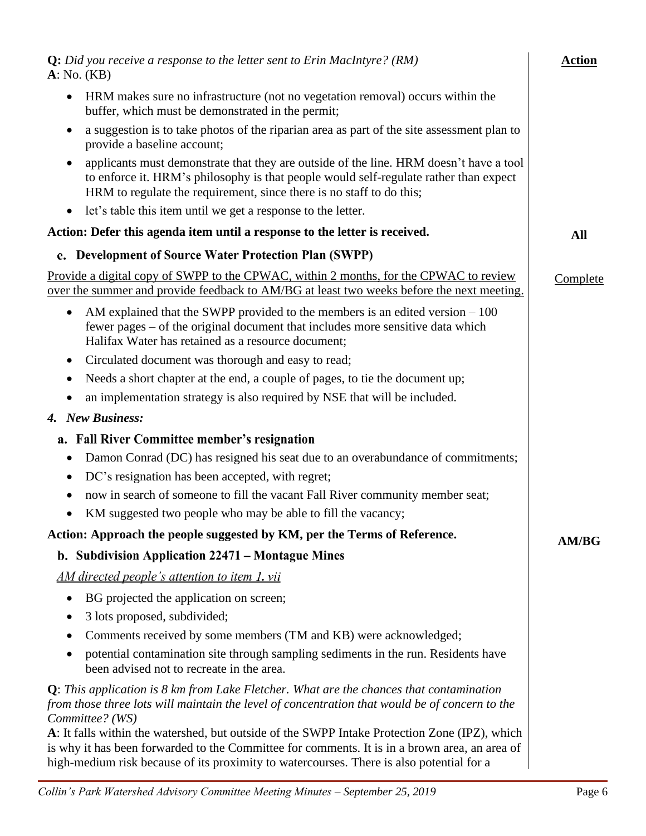| <b>Q:</b> Did you receive a response to the letter sent to Erin MacIntyre? (RM)<br>A: No. (KB)                                                                                                                                                                                             | <b>Action</b> |
|--------------------------------------------------------------------------------------------------------------------------------------------------------------------------------------------------------------------------------------------------------------------------------------------|---------------|
| HRM makes sure no infrastructure (not no vegetation removal) occurs within the<br>$\bullet$<br>buffer, which must be demonstrated in the permit;                                                                                                                                           |               |
| a suggestion is to take photos of the riparian area as part of the site assessment plan to<br>provide a baseline account;                                                                                                                                                                  |               |
| applicants must demonstrate that they are outside of the line. HRM doesn't have a tool<br>to enforce it. HRM's philosophy is that people would self-regulate rather than expect<br>HRM to regulate the requirement, since there is no staff to do this;                                    |               |
| let's table this item until we get a response to the letter.<br>$\bullet$                                                                                                                                                                                                                  |               |
| Action: Defer this agenda item until a response to the letter is received.                                                                                                                                                                                                                 | All           |
| e. Development of Source Water Protection Plan (SWPP)                                                                                                                                                                                                                                      |               |
| Provide a digital copy of SWPP to the CPWAC, within 2 months, for the CPWAC to review<br>over the summer and provide feedback to AM/BG at least two weeks before the next meeting.                                                                                                         | Complete      |
| AM explained that the SWPP provided to the members is an edited version $-100$<br>fewer pages – of the original document that includes more sensitive data which<br>Halifax Water has retained as a resource document;                                                                     |               |
| Circulated document was thorough and easy to read;                                                                                                                                                                                                                                         |               |
| Needs a short chapter at the end, a couple of pages, to tie the document up;                                                                                                                                                                                                               |               |
| an implementation strategy is also required by NSE that will be included.<br>$\bullet$                                                                                                                                                                                                     |               |
| 4. New Business:                                                                                                                                                                                                                                                                           |               |
| <b>Fall River Committee member's resignation</b><br>a.                                                                                                                                                                                                                                     |               |
| Damon Conrad (DC) has resigned his seat due to an overabundance of commitments;                                                                                                                                                                                                            |               |
| DC's resignation has been accepted, with regret;<br>$\bullet$                                                                                                                                                                                                                              |               |
| now in search of someone to fill the vacant Fall River community member seat;<br>$\bullet$                                                                                                                                                                                                 |               |
| KM suggested two people who may be able to fill the vacancy;<br>$\bullet$                                                                                                                                                                                                                  |               |
| Action: Approach the people suggested by KM, per the Terms of Reference.                                                                                                                                                                                                                   | <b>AM/BG</b>  |
| b. Subdivision Application 22471 – Montague Mines                                                                                                                                                                                                                                          |               |
| AM directed people's attention to item 1, vii                                                                                                                                                                                                                                              |               |
| BG projected the application on screen;<br>$\bullet$                                                                                                                                                                                                                                       |               |
| 3 lots proposed, subdivided;<br>$\bullet$                                                                                                                                                                                                                                                  |               |
| Comments received by some members (TM and KB) were acknowledged;                                                                                                                                                                                                                           |               |
| potential contamination site through sampling sediments in the run. Residents have<br>been advised not to recreate in the area.                                                                                                                                                            |               |
| $Q$ : This application is 8 km from Lake Fletcher. What are the chances that contamination<br>from those three lots will maintain the level of concentration that would be of concern to the<br>Committee? (WS)                                                                            |               |
| A: It falls within the watershed, but outside of the SWPP Intake Protection Zone (IPZ), which<br>is why it has been forwarded to the Committee for comments. It is in a brown area, an area of<br>high-medium risk because of its proximity to watercourses. There is also potential for a |               |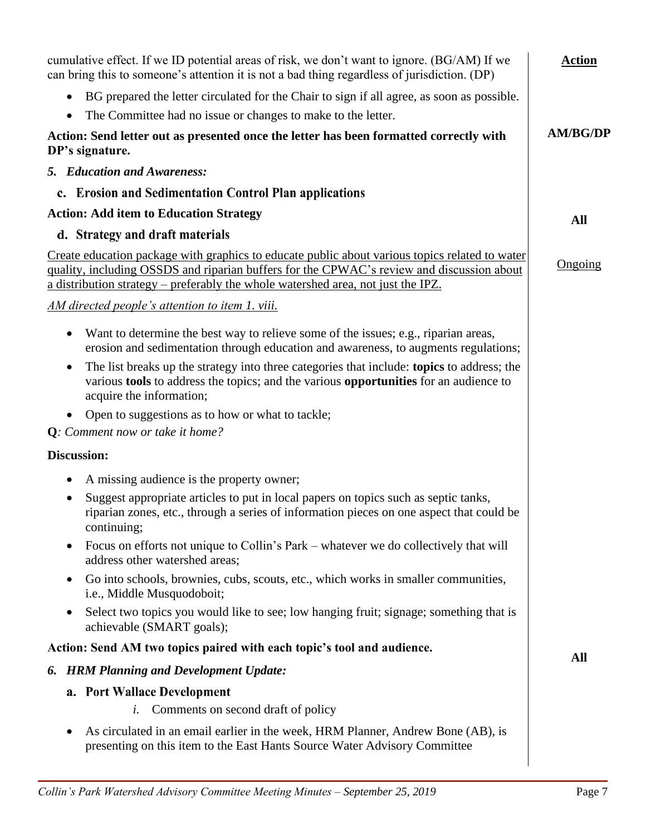<span id="page-6-2"></span><span id="page-6-1"></span><span id="page-6-0"></span>

| cumulative effect. If we ID potential areas of risk, we don't want to ignore. (BG/AM) If we<br>can bring this to someone's attention it is not a bad thing regardless of jurisdiction. (DP)                                                                                     | <b>Action</b>   |
|---------------------------------------------------------------------------------------------------------------------------------------------------------------------------------------------------------------------------------------------------------------------------------|-----------------|
| BG prepared the letter circulated for the Chair to sign if all agree, as soon as possible.                                                                                                                                                                                      |                 |
| The Committee had no issue or changes to make to the letter.<br>$\bullet$                                                                                                                                                                                                       |                 |
| Action: Send letter out as presented once the letter has been formatted correctly with<br>DP's signature.                                                                                                                                                                       | <b>AM/BG/DP</b> |
| 5. Education and Awareness:                                                                                                                                                                                                                                                     |                 |
| c. Erosion and Sedimentation Control Plan applications                                                                                                                                                                                                                          |                 |
| <b>Action: Add item to Education Strategy</b>                                                                                                                                                                                                                                   | <b>All</b>      |
| d. Strategy and draft materials                                                                                                                                                                                                                                                 |                 |
| Create education package with graphics to educate public about various topics related to water<br>quality, including OSSDS and riparian buffers for the CPWAC's review and discussion about<br>a distribution strategy – preferably the whole watershed area, not just the IPZ. | Ongoing         |
| AM directed people's attention to item 1. viii.                                                                                                                                                                                                                                 |                 |
| Want to determine the best way to relieve some of the issues; e.g., riparian areas,<br>$\bullet$<br>erosion and sedimentation through education and awareness, to augments regulations;                                                                                         |                 |
| The list breaks up the strategy into three categories that include: topics to address; the<br>various <b>tools</b> to address the topics; and the various <b>opportunities</b> for an audience to<br>acquire the information;                                                   |                 |
| Open to suggestions as to how or what to tackle;                                                                                                                                                                                                                                |                 |
| Q: Comment now or take it home?                                                                                                                                                                                                                                                 |                 |
| <b>Discussion:</b>                                                                                                                                                                                                                                                              |                 |
| A missing audience is the property owner;<br>$\bullet$                                                                                                                                                                                                                          |                 |
| Suggest appropriate articles to put in local papers on topics such as septic tanks,<br>٠<br>riparian zones, etc., through a series of information pieces on one aspect that could be<br>continuing;                                                                             |                 |
| Focus on efforts not unique to Collin's Park – whatever we do collectively that will<br>address other watershed areas;                                                                                                                                                          |                 |
| Go into schools, brownies, cubs, scouts, etc., which works in smaller communities,<br>٠<br>i.e., Middle Musquodoboit;                                                                                                                                                           |                 |
| Select two topics you would like to see; low hanging fruit; signage; something that is<br>$\bullet$<br>achievable (SMART goals);                                                                                                                                                |                 |
| Action: Send AM two topics paired with each topic's tool and audience.                                                                                                                                                                                                          | All             |
| <b>HRM Planning and Development Update:</b><br>6.                                                                                                                                                                                                                               |                 |
| a. Port Wallace Development                                                                                                                                                                                                                                                     |                 |
| Comments on second draft of policy<br>i.                                                                                                                                                                                                                                        |                 |
| As circulated in an email earlier in the week, HRM Planner, Andrew Bone (AB), is<br>٠<br>presenting on this item to the East Hants Source Water Advisory Committee                                                                                                              |                 |
|                                                                                                                                                                                                                                                                                 |                 |